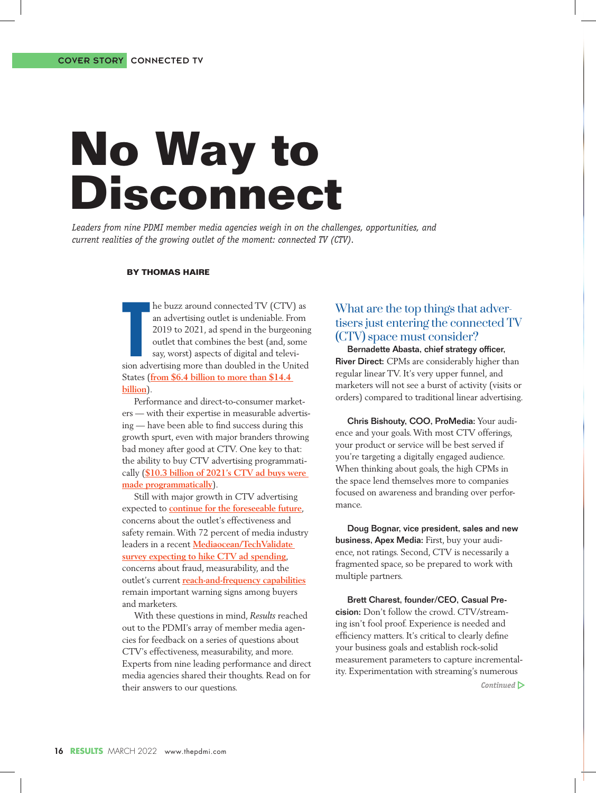*Leaders from nine PDMI member media agencies weigh in on the challenges, opportunities, and current realities of the growing outlet of the moment: connected TV (CTV).*

#### **BY THOMAS HAIRE**

**billion**).

**Example 18 and advertising outlet is undeniable. From 2019 to 2021, ad spend in the burgeoning outlet that combines the best (and, some say, worst) aspects of digital and television advertising more than doubled in the Un** he buzz around connected TV (CTV) as an advertising outlet is undeniable. From 2019 to 2021, ad spend in the burgeoning outlet that combines the best (and, some say, worst) aspects of digital and televi-States (**from \$6.4 billion to more than \$14.4** 

Performance and direct-to-consumer marketers — with their expertise in measurable advertising — have been able to find success during this growth spurt, even with major branders throwing bad money after good at CTV. One key to that: the ability to buy CTV advertising programmatically (**\$10.3 billion of 2021's CTV ad buys were made programmatically**).

Still with major growth in CTV advertising expected to **continue for the foreseeable future**, concerns about the outlet's effectiveness and safety remain. With 72 percent of media industry leaders in a recent **Mediaocean/TechValidate survey expecting to hike CTV ad spending**, concerns about fraud, measurability, and the outlet's current **reach-and-frequency capabilities** remain important warning signs among buyers and marketers.

With these questions in mind, *Results* reached out to the PDMI's array of member media agencies for feedback on a series of questions about CTV's effectiveness, measurability, and more. Experts from nine leading performance and direct media agencies shared their thoughts. Read on for their answers to our questions.

#### What are the top things that advertisers just entering the connected TV (CTV) space must consider?

Bernadette Abasta, chief strategy officer, River Direct: CPMs are considerably higher than regular linear TV. It's very upper funnel, and marketers will not see a burst of activity (visits or orders) compared to traditional linear advertising.

Chris Bishouty, COO, ProMedia: Your audience and your goals. With most CTV offerings, your product or service will be best served if you're targeting a digitally engaged audience. When thinking about goals, the high CPMs in the space lend themselves more to companies focused on awareness and branding over performance.

Doug Bognar, vice president, sales and new business, Apex Media: First, buy your audience, not ratings. Second, CTV is necessarily a fragmented space, so be prepared to work with multiple partners.

Brett Charest, founder/CEO, Casual Precision: Don't follow the crowd. CTV/streaming isn't fool proof. Experience is needed and efficiency matters. It's critical to clearly define your business goals and establish rock-solid measurement parameters to capture incrementality. Experimentation with streaming's numerous

*Continued*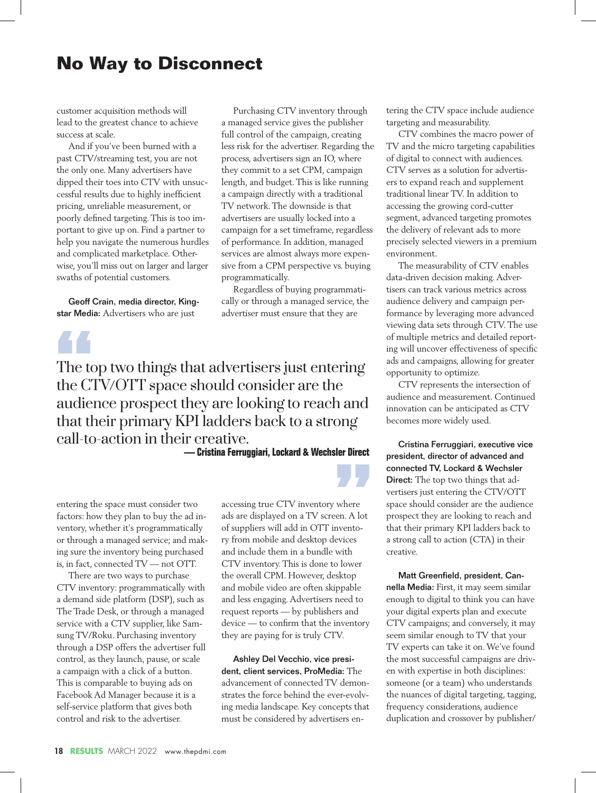customer acquisition methods will lead to the greatest chance to achieve success at scale.

And if you've been burned with a past CTV/streaming test, you are not the only one. Many advertisers have dipped their toes into CTV with unsuccessful results due to highly inefficient pricing, unreliable measurement, or poorly defined targeting. This is too important to give up on. Find a partner to help you navigate the numerous hurdles and complicated marketplace. Otherwise, you'll miss out on larger and larger swaths of potential customers.

Geoff Crain, media director, Kingstar Media: Advertisers who are just

# The to

The top two things that advertisers just entering the CTV/OTT space should consider are the audience prospect they are looking to reach and that their primary KPI ladders back to a strong call-to-action in their creative.

**— Cristina Ferruggiari, Lockard & Wechsler Direct**

programmatically.

Purchasing CTV inventory through a managed service gives the publisher full control of the campaign, creating less risk for the advertiser. Regarding the process, advertisers sign an IO, where they commit to a set CPM, campaign length, and budget. This is like running a campaign directly with a traditional TV network. The downside is that advertisers are usually locked into a campaign for a set timeframe, regardless of performance. In addition, managed services are almost always more expensive from a CPM perspective vs. buying

Regardless of buying programmatically or through a managed service, the advertiser must ensure that they are

entering the space must consider two factors: how they plan to buy the ad inventory, whether it's programmatically or through a managed service; and making sure the inventory being purchased is, in fact, connected TV — not OTT.

There are two ways to purchase CTV inventory: programmatically with a demand side platform (DSP), such as The Trade Desk, or through a managed service with a CTV supplier, like Samsung TV/Roku. Purchasing inventory through a DSP offers the advertiser full control, as they launch, pause, or scale a campaign with a click of a button. This is comparable to buying ads on Facebook Ad Manager because it is a self-service platform that gives both control and risk to the advertiser.

accessing true CTV inventory where ads are displayed on a TV screen. A lot of suppliers will add in OTT inventory from mobile and desktop devices and include them in a bundle with CTV inventory. This is done to lower the overall CPM. However, desktop and mobile video are often skippable and less engaging. Advertisers need to request reports — by publishers and device — to confirm that the inventory they are paying for is truly CTV.

**"**

Ashley Del Vecchio, vice president, client services, ProMedia: The advancement of connected TV demonstrates the force behind the ever-evolving media landscape. Key concepts that must be considered by advertisers entering the CTV space include audience targeting and measurability.

CTV combines the macro power of TV and the micro targeting capabilities of digital to connect with audiences. CTV serves as a solution for advertisers to expand reach and supplement traditional linear TV. In addition to accessing the growing cord-cutter segment, advanced targeting promotes the delivery of relevant ads to more precisely selected viewers in a premium environment.

The measurability of CTV enables data-driven decision making. Advertisers can track various metrics across audience delivery and campaign performance by leveraging more advanced viewing data sets through CTV. The use of multiple metrics and detailed reporting will uncover effectiveness of specific ads and campaigns, allowing for greater opportunity to optimize.

CTV represents the intersection of audience and measurement. Continued innovation can be anticipated as CTV becomes more widely used.

Cristina Ferruggiari, executive vice president, director of advanced and connected TV, Lockard & Wechsler Direct: The top two things that advertisers just entering the CTV/OTT space should consider are the audience prospect they are looking to reach and that their primary KPI ladders back to a strong call to action (CTA) in their creative.

Matt Greenfield, president, Cannella Media: First, it may seem similar enough to digital to think you can have your digital experts plan and execute CTV campaigns; and conversely, it may seem similar enough to TV that your TV experts can take it on. We've found the most successful campaigns are driven with expertise in both disciplines: someone (or a team) who understands the nuances of digital targeting, tagging, frequency considerations, audience duplication and crossover by publisher/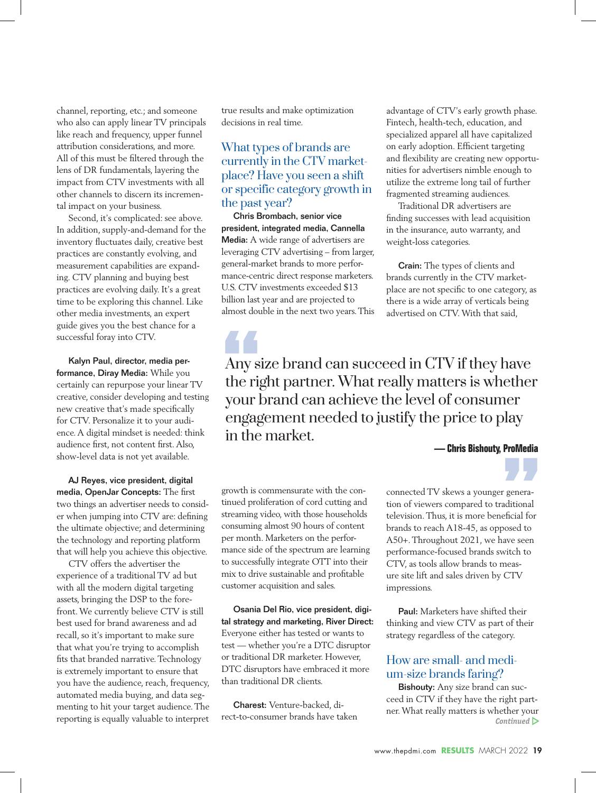channel, reporting, etc.; and someone who also can apply linear TV principals like reach and frequency, upper funnel attribution considerations, and more. All of this must be filtered through the lens of DR fundamentals, layering the impact from CTV investments with all other channels to discern its incremental impact on your business.

Second, it's complicated: see above. In addition, supply-and-demand for the inventory fluctuates daily, creative best practices are constantly evolving, and measurement capabilities are expanding. CTV planning and buying best practices are evolving daily. It's a great time to be exploring this channel. Like other media investments, an expert guide gives you the best chance for a successful foray into CTV.

Kalyn Paul, director, media performance, Diray Media: While you certainly can repurpose your linear TV creative, consider developing and testing new creative that's made specifically for CTV. Personalize it to your audience. A digital mindset is needed: think audience first, not content first. Also, show-level data is not yet available.

AJ Reyes, vice president, digital media, OpenJar Concepts: The first two things an advertiser needs to consider when jumping into CTV are: defining the ultimate objective; and determining the technology and reporting platform that will help you achieve this objective.

CTV offers the advertiser the experience of a traditional TV ad but with all the modern digital targeting assets, bringing the DSP to the forefront. We currently believe CTV is still best used for brand awareness and ad recall, so it's important to make sure that what you're trying to accomplish fits that branded narrative. Technology is extremely important to ensure that you have the audience, reach, frequency, automated media buying, and data segmenting to hit your target audience. The reporting is equally valuable to interpret

true results and make optimization decisions in real time.

## What types of brands are currently in the CTV marketplace? Have you seen a shift or specific category growth in the past year?

Chris Brombach, senior vice president, integrated media, Cannella Media: A wide range of advertisers are leveraging CTV advertising – from larger, general-market brands to more performance-centric direct response marketers. U.S. CTV investments exceeded \$13 billion last year and are projected to almost double in the next two years. This

advantage of CTV's early growth phase. Fintech, health-tech, education, and specialized apparel all have capitalized on early adoption. Efficient targeting and flexibility are creating new opportunities for advertisers nimble enough to utilize the extreme long tail of further fragmented streaming audiences.

Traditional DR advertisers are finding successes with lead acquisition in the insurance, auto warranty, and weight-loss categories.

Crain: The types of clients and brands currently in the CTV marketplace are not specific to one category, as there is a wide array of verticals being advertised on CTV. With that said,

Any size brand can succeed in CTV if they have the right partner. What really matters is whether your brand can achieve the level of consumer engagement needed to justify the price to play in the market. Any s<sup>\*</sup>

**— Chris Bishouty, ProMedia**

**"**

growth is commensurate with the continued proliferation of cord cutting and streaming video, with those households consuming almost 90 hours of content per month. Marketers on the performance side of the spectrum are learning to successfully integrate OTT into their mix to drive sustainable and profitable customer acquisition and sales.

Osania Del Rio, vice president, digital strategy and marketing, River Direct: Everyone either has tested or wants to test — whether you're a DTC disruptor or traditional DR marketer. However, DTC disruptors have embraced it more than traditional DR clients.

Charest: Venture-backed, direct-to-consumer brands have taken connected TV skews a younger generation of viewers compared to traditional television. Thus, it is more beneficial for brands to reach A18-45, as opposed to A50+. Throughout 2021, we have seen performance-focused brands switch to CTV, as tools allow brands to measure site lift and sales driven by CTV impressions.

Paul: Marketers have shifted their thinking and view CTV as part of their strategy regardless of the category.

## How are small- and medium-size brands faring?

Bishouty: Any size brand can succeed in CTV if they have the right partner. What really matters is whether your *Continued*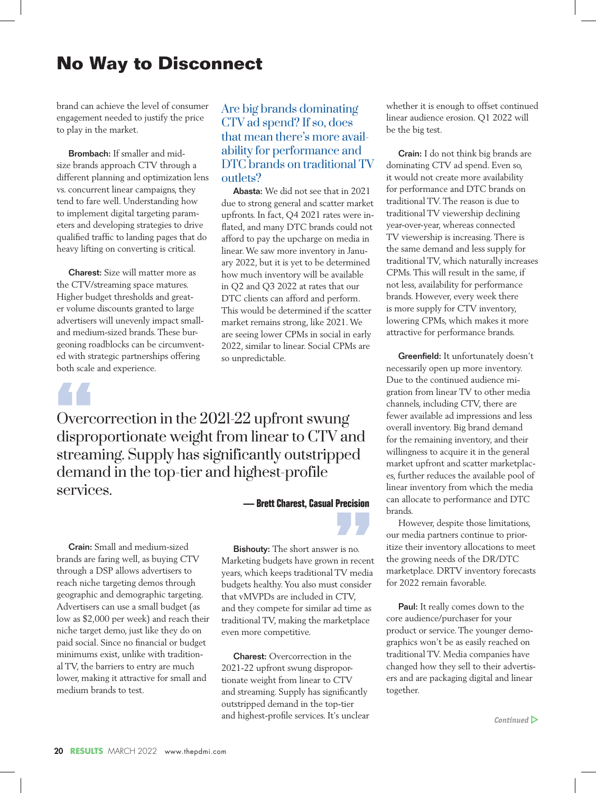brand can achieve the level of consumer engagement needed to justify the price to play in the market.

Brombach: If smaller and midsize brands approach CTV through a different planning and optimization lens vs. concurrent linear campaigns, they tend to fare well. Understanding how to implement digital targeting parameters and developing strategies to drive qualified traffic to landing pages that do heavy lifting on converting is critical.

Charest: Size will matter more as the CTV/streaming space matures. Higher budget thresholds and greater volume discounts granted to large advertisers will unevenly impact smalland medium-sized brands. These burgeoning roadblocks can be circumvented with strategic partnerships offering both scale and experience.

## Are big brands dominating CTV ad spend? If so, does that mean there's more availability for performance and DTC brands on traditional TV outlets?

Abasta: We did not see that in 2021 due to strong general and scatter market upfronts. In fact, Q4 2021 rates were in flated, and many DTC brands could not afford to pay the upcharge on media in linear. We saw more inventory in January 2022, but it is yet to be determined how much inventory will be available in Q2 and Q3 2022 at rates that our DTC clients can afford and perform. This would be determined if the scatter market remains strong, like 2021. We are seeing lower CPMs in social in early 2022, similar to linear. Social CPMs are so unpredictable.

Overcorrection in the 2021-22 upfront swung disproportionate weight from linear to CTV and streaming. Supply has significantly outstripped demand in the top-tier and highest-profile services.  $\begin{array}{c}\n\bullet \\
\bullet \\
\bullet \\
\bullet \\
\bullet \\
\bullet\n\end{array}$ 

Crain: Small and medium-sized brands are faring well, as buying CTV through a DSP allows advertisers to reach niche targeting demos through geographic and demographic targeting. Advertisers can use a small budget (as low as \$2,000 per week) and reach their niche target demo, just like they do on paid social. Since no financial or budget minimums exist, unlike with traditional TV, the barriers to entry are much lower, making it attractive for small and medium brands to test.

**— Brett Charest, Casual Precision**

**"**

Bishouty: The short answer is no. Marketing budgets have grown in recent years, which keeps traditional TV media budgets healthy. You also must consider that vMVPDs are included in CTV, and they compete for similar ad time as traditional TV, making the marketplace even more competitive.

Charest: Overcorrection in the 2021-22 upfront swung disproportionate weight from linear to CTV and streaming. Supply has significantly outstripped demand in the top-tier and highest-profile services. It's unclear whether it is enough to offset continued linear audience erosion. Q1 2022 will be the big test.

Crain: I do not think big brands are dominating CTV ad spend. Even so, it would not create more availability for performance and DTC brands on traditional TV. The reason is due to traditional TV viewership declining year-over-year, whereas connected TV viewership is increasing. There is the same demand and less supply for traditional TV, which naturally increases CPMs. This will result in the same, if not less, availability for performance brands. However, every week there is more supply for CTV inventory, lowering CPMs, which makes it more attractive for performance brands.

Greenfield: It unfortunately doesn't necessarily open up more inventory. Due to the continued audience migration from linear TV to other media channels, including CTV, there are fewer available ad impressions and less overall inventory. Big brand demand for the remaining inventory, and their willingness to acquire it in the general market upfront and scatter marketplaces, further reduces the available pool of linear inventory from which the media can allocate to performance and DTC brands.

However, despite those limitations, our media partners continue to prioritize their inventory allocations to meet the growing needs of the DR/DTC marketplace. DRTV inventory forecasts for 2022 remain favorable.

Paul: It really comes down to the core audience/purchaser for your product or service. The younger demographics won't be as easily reached on traditional TV. Media companies have changed how they sell to their advertisers and are packaging digital and linear together.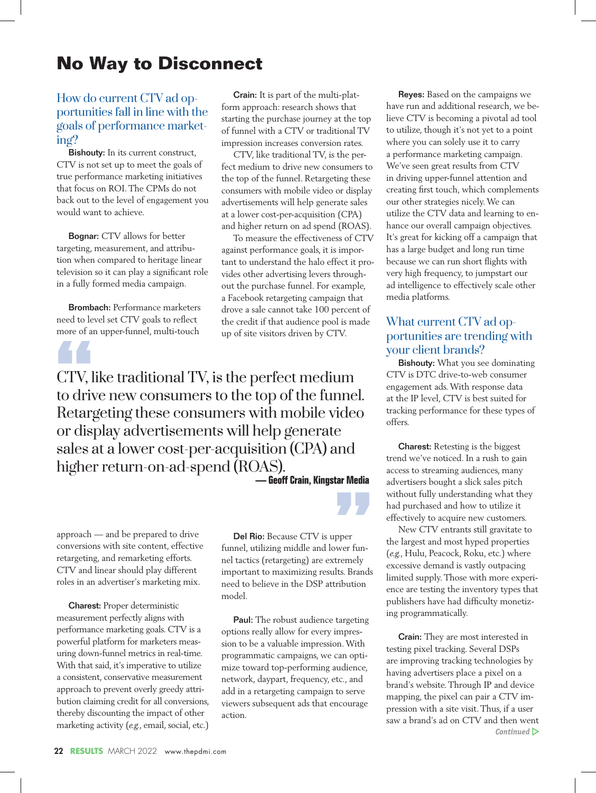## How do current CTV ad opportunities fall in line with the goals of performance marketing?

Bishouty: In its current construct, CTV is not set up to meet the goals of true performance marketing initiatives that focus on ROI. The CPMs do not back out to the level of engagement you would want to achieve.

Bognar: CTV allows for better targeting, measurement, and attribution when compared to heritage linear television so it can play a significant role in a fully formed media campaign.

Brombach: Performance marketers need to level set CTV goals to reflect more of an upper-funnel, multi-touch

Crain: It is part of the multi-platform approach: research shows that starting the purchase journey at the top of funnel with a CTV or traditional TV impression increases conversion rates.

CTV, like traditional TV, is the perfect medium to drive new consumers to the top of the funnel. Retargeting these consumers with mobile video or display advertisements will help generate sales at a lower cost-per-acquisition (CPA) and higher return on ad spend (ROAS).

To measure the effectiveness of CTV against performance goals, it is important to understand the halo effect it provides other advertising levers throughout the purchase funnel. For example, a Facebook retargeting campaign that drove a sale cannot take 100 percent of the credit if that audience pool is made up of site visitors driven by CTV.

CTV, like traditional TV, is the perfect medium to drive new consumers to the top of the funnel. Retargeting these consumers with mobile video or display advertisements will help generate sales at a lower cost-per-acquisition (CPA) and higher return-on-ad-spend (ROAS). **6.4**<br>CTV, l

**— Geoff Crain, Kingstar Media**

**"**

approach — and be prepared to drive conversions with site content, effective retargeting, and remarketing efforts. CTV and linear should play different roles in an advertiser's marketing mix.

Charest: Proper deterministic measurement perfectly aligns with performance marketing goals. CTV is a powerful platform for marketers measuring down-funnel metrics in real-time. With that said, it's imperative to utilize a consistent, conservative measurement approach to prevent overly greedy attribution claiming credit for all conversions, thereby discounting the impact of other marketing activity (*e.g.*, email, social, etc.)

Del Rio: Because CTV is upper funnel, utilizing middle and lower funnel tactics (retargeting) are extremely important to maximizing results. Brands need to believe in the DSP attribution model.

Paul: The robust audience targeting options really allow for every impression to be a valuable impression. With programmatic campaigns, we can optimize toward top-performing audience, network, daypart, frequency, etc., and add in a retargeting campaign to serve viewers subsequent ads that encourage action.

Reyes: Based on the campaigns we have run and additional research, we believe CTV is becoming a pivotal ad tool to utilize, though it's not yet to a point where you can solely use it to carry a performance marketing campaign. We've seen great results from CTV in driving upper-funnel attention and creating first touch, which complements our other strategies nicely. We can utilize the CTV data and learning to enhance our overall campaign objectives. It's great for kicking off a campaign that has a large budget and long run time because we can run short flights with very high frequency, to jumpstart our ad intelligence to effectively scale other media platforms.

## What current CTV ad opportunities are trending with your client brands?

Bishouty: What you see dominating CTV is DTC drive-to-web consumer engagement ads. With response data at the IP level, CTV is best suited for tracking performance for these types of offers.

Charest: Retesting is the biggest trend we've noticed. In a rush to gain access to streaming audiences, many advertisers bought a slick sales pitch without fully understanding what they had purchased and how to utilize it effectively to acquire new customers.

New CTV entrants still gravitate to the largest and most hyped properties (*e.g.*, Hulu, Peacock, Roku, etc.) where excessive demand is vastly outpacing limited supply. Those with more experience are testing the inventory types that publishers have had difficulty monetizing programmatically.

Crain: They are most interested in testing pixel tracking. Several DSPs are improving tracking technologies by having advertisers place a pixel on a brand's website. Through IP and device mapping, the pixel can pair a CTV impression with a site visit. Thus, if a user saw a brand's ad on CTV and then went *Continued*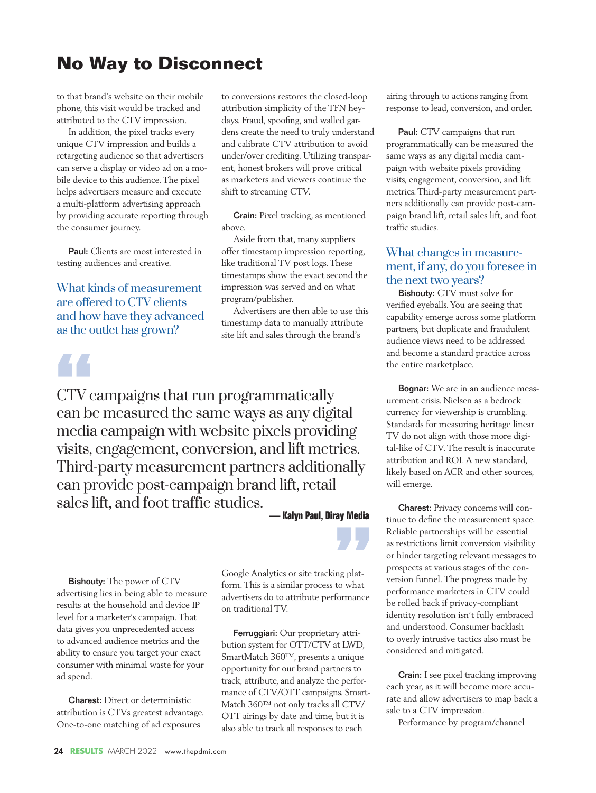to that brand's website on their mobile phone, this visit would be tracked and attributed to the CTV impression.

In addition, the pixel tracks every unique CTV impression and builds a retargeting audience so that advertisers can serve a display or video ad on a mobile device to this audience. The pixel helps advertisers measure and execute a multi-platform advertising approach by providing accurate reporting through the consumer journey.

Paul: Clients are most interested in testing audiences and creative.

What kinds of measurement are offered to CTV clients and how have they advanced as the outlet has grown?

## **"**

CTV campaigns that run programmatically can be measured the same ways as any digital media campaign with website pixels providing visits, engagement, conversion, and lift metrics. Third-party measurement partners additionally can provide post-campaign brand lift, retail sales lift, and foot traffic studies.

**— Kalyn Paul, Diray Media**

**"**

Bishouty: The power of CTV advertising lies in being able to measure results at the household and device IP level for a marketer's campaign. That data gives you unprecedented access to advanced audience metrics and the ability to ensure you target your exact consumer with minimal waste for your ad spend.

Charest: Direct or deterministic attribution is CTVs greatest advantage. One-to-one matching of ad exposures

Google Analytics or site tracking platform. This is a similar process to what advertisers do to attribute performance on traditional TV.

to conversions restores the closed-loop attribution simplicity of the TFN heydays. Fraud, spoofing, and walled gardens create the need to truly understand and calibrate CTV attribution to avoid under/over crediting. Utilizing transparent, honest brokers will prove critical as marketers and viewers continue the

Crain: Pixel tracking, as mentioned

Advertisers are then able to use this timestamp data to manually attribute site lift and sales through the brand's

Aside from that, many suppliers offer timestamp impression reporting, like traditional TV post logs. These timestamps show the exact second the impression was served and on what

shift to streaming CTV.

program/publisher.

above.

Ferruggiari: Our proprietary attribution system for OTT/CTV at LWD, SmartMatch 360™, presents a unique opportunity for our brand partners to track, attribute, and analyze the performance of CTV/OTT campaigns. Smart-Match 360™ not only tracks all CTV/ OTT airings by date and time, but it is also able to track all responses to each

airing through to actions ranging from response to lead, conversion, and order.

Paul: CTV campaigns that run programmatically can be measured the same ways as any digital media campaign with website pixels providing visits, engagement, conversion, and lift metrics. Third-party measurement partners additionally can provide post-campaign brand lift, retail sales lift, and foot traffic studies.

### What changes in measurement, if any, do you foresee in the next two years?

Bishouty: CTV must solve for verified eyeballs. You are seeing that capability emerge across some platform partners, but duplicate and fraudulent audience views need to be addressed and become a standard practice across the entire marketplace.

Bognar: We are in an audience measurement crisis. Nielsen as a bedrock currency for viewership is crumbling. Standards for measuring heritage linear TV do not align with those more digital-like of CTV. The result is inaccurate attribution and ROI. A new standard, likely based on ACR and other sources, will emerge.

Charest: Privacy concerns will continue to define the measurement space. Reliable partnerships will be essential as restrictions limit conversion visibility or hinder targeting relevant messages to prospects at various stages of the conversion funnel. The progress made by performance marketers in CTV could be rolled back if privacy-compliant identity resolution isn't fully embraced and understood. Consumer backlash to overly intrusive tactics also must be considered and mitigated.

Crain: I see pixel tracking improving each year, as it will become more accurate and allow advertisers to map back a sale to a CTV impression.

Performance by program/channel